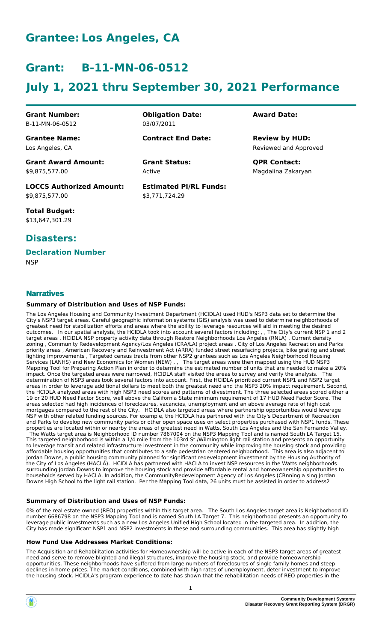# **Grantee: Los Angeles, CA**

# **Grant: B-11-MN-06-0512**

# **July 1, 2021 thru September 30, 2021 Performance**

**Grant Number:** B-11-MN-06-0512

**Grantee Name:** Los Angeles, CA

**Obligation Date:** 03/07/2011

**Contract End Date:**

Active

**Estimated PI/RL Funds:** \$3,771,724.29

**Award Date:**

Reviewed and Approved **Review by HUD:**

**Grant Status: QPR Contact:** Magdalina Zakaryan

**Grant Award Amount:** \$9,875,577.00

**LOCCS Authorized Amount:** \$9,875,577.00

**Total Budget:** \$13,647,301.29

## **Disasters:**

# **Declaration Number**

**NSP** 

## **Narratives**

### **Summary of Distribution and Uses of NSP Funds:**

The Los Angeles Housing and Community Investment Department (HCIDLA) used HUD's NSP3 data set to determine the City's NSP3 target areas. Careful geographic information systems (GIS) analysis was used to determine neighborhoods of greatest need for stabilization efforts and areas where the ability to leverage resources will aid in meeting the desired outcomes. In our spatial analysis, the HCIDLA took into account several factors including: , , The City's current NSP 1 and 2 target areas , HCIDLA NSP property activity data through Restore Neighborhoods Los Angeles (RNLA) , Current density zoning , Community Redevelopment Agency/Los Angeles (CRA/LA) project areas , City of Los Angeles Recreation and Parks priority areas , American Recovery and Reinvestment Act (ARRA) funded street resurfacing projects, bike grating and street lighting improvements , Targeted census tracts from other NSP2 grantees such as Los Angeles Neighborhood Housing Services (LANHS) and New Economics for Women (NEW) , , The target areas were then mapped using the HUD NSP3 Mapping Tool for Preparing Action Plan in order to determine the estimated number of units that are needed to make a 20%<br>impact. Once the targeted areas were narrowed. HCIDLA staff visited the areas to survey and verify th impact. Once the targeted areas were narrowed, HCIDLA staff visited the areas to survey and verify the analysis. determination of NSP3 areas took several factors into account. First, the HCIDLA prioritized current NSP1 and NSP2 target areas in order to leverage additional dollars to meet both the greatest need and the NSP3 20% impact requirement. Second, the HCIDLA analyzed areas with high NSP3 need scores and patterns of divestment. The three selected areas scored either a 19 or 20 HUD Need Factor Score, well above the California State minimum requirement of 17 HUD Need Factor Score. The areas selected had high incidences of foreclosures, vacancies, unemployment and an above average rate of high cost mortgages compared to the rest of the City. HCIDLA also targeted areas where partnership opportunities would leverage NSP with other related funding sources. For example, the HCIDLA has partnered with the City's Department of Recreation and Parks to develop new community parks or other open space uses on select properties purchased with NSP1 funds. These properties are located within or nearby the areas of greatest need in Watts, South Los Angeles and the San Fernando Valley. The Watts target area is Neighborhood ID number 7867004 on the NSP3 Mapping Tool and is named South LA Target 15. This targeted neighborhood is within a 1/4 mile from the 103rd St./Wilmington light rail station and presents an opportunity to leverage transit and related infrastructure investment in the community while improving the housing stock and providing affordable housing opportunities that contributes to a safe pedestrian centered neighborhood. This area is also adjacent to Jordan Downs, a public housing community planned for significant redevelopment investment by the Housing Authority of the City of Los Angeles (HACLA). HCIDLA has partnered with HACLA to invest NSP resources in the Watts neighborhoods surrounding Jordan Downs to improve the housing stock and provide affordable rental and homeownership opportunities to households served by HACLA. In addition, the CommunityRedevelopment Agency of Los Angeles (CRnning a sing Jordan Downs High School to the light rail station. Per the Mapping Tool data, 26 units must be assisted in order to address2

### **Summary of Distribution and Uses of NSP Funds:**

0% of the real estate owned (REO) properties within this target area. The South Los Angeles target area is Neighborhood ID number 6686798 on the NSP3 Mapping Tool and is named South LA Target 7. This neighborhood presents an opportunity to leverage public investments such as a new Los Angeles Unified High School located in the targeted area. In addition, the City has made significant NSP1 and NSP2 investments in these and surrounding communities. This area has slightly high

### **How Fund Use Addresses Market Conditions:**

The Acquisition and Rehabilitation activities for Homeownership will be active in each of the NSP3 target areas of greatest need and serve to remove blighted and illegal structures, improve the housing stock, and provide homeownership opportunities. These neighborhoods have suffered from large numbers of foreclosures of single family homes and steep declines in home prices. The market conditions, combined with high rates of unemployment, deter investment to improve the housing stock. HCIDLA's program experience to date has shown that the rehabilitation needs of REO properties in the



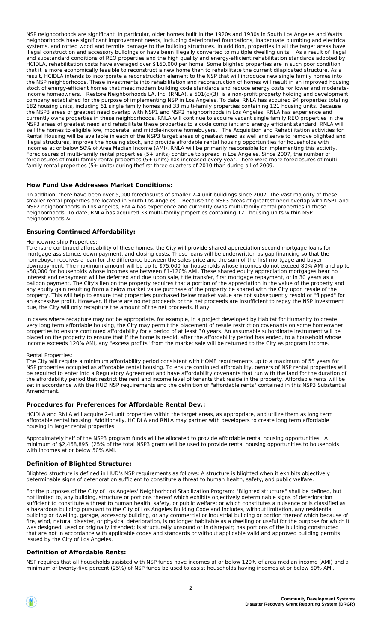NSP neighborhoods are significant. In particular, older homes built in the 1920s and 1930s in South Los Angeles and Watts neighborhoods have significant improvement needs, including deteriorated foundations, inadequate plumbing and electrical systems, and rotted wood and termite damage to the building structures. In addition, properties in all the target areas have illegal construction and accessory buildings or have been illegally converted to multiple dwelling units. As a result of illegal and substandard conditions of REO properties and the high quality and energy-efficient rehabilitation standards adopted by HCIDLA, rehabilitation costs have averaged over \$160,000 per home. Some blighted properties are in such poor condition that it is more economically feasible to reconstruct a new home than to rehabilitate the current dilapidated structure. As a result, HCIDLA intends to incorporate a reconstruction element to the NSP that will introduce new single family homes into the NSP neighborhoods. These investments into rehabilitation and reconstruction of homes will result in an improved housing stock of energy-efficient homes that meet modern building code standards and reduce energy costs for lower and moderateincome homeowners. Restore Neighborhoods LA, Inc. (RNLA), a 501(c)(3), is a non-profit property holding and development company established for the purpose of implementing NSP in Los Angeles. To date, RNLA has acquired 94 properties totaling 182 housing units, including 61 single family homes and 33 multi-family properties containing 121 housing units. Because the NSP3 areas of greatest need overlap with NSP1 and NSP2 neighborhoods in Los Angeles, RNLA has experience and currently owns properties in these neighborhoods. RNLA will continue to acquire vacant single family REO properties in the NSP3 areas of greatest need and rehabilitate these properties to a code compliant and energy efficient standard. RNLA will sell the homes to eligible low, moderate, and middle-income homebuyers. The Acquisition and Rehabilitation activities for Rental Housing will be available in each of the NSP3 target areas of greatest need as well and serve to remove blighted and illegal structures, improve the housing stock, and provide affordable rental housing opportunities for households with incomes at or below 50% of Area Median Income (AMI). RNLA will be primarily responsible for implementing this activity. Foreclosures of multi-family rental properties (5+ units) continue to spread in Los Angeles. Since 2007, the number of foreclosures of multi-family rental properties (5+ units) has increased every year. There were more foreclosures of multifamily rental properties (5+ units) during thefirst three quarters of 2010 than during all of 2009.

### **How Fund Use Addresses Market Conditions:**

;In addition, there have been over 5,000 foreclosures of smaller 2-4 unit buildings since 2007. The vast majority of these smaller rental properties are located in South Los Angeles. Because the NSP3 areas of greatest need overlap with NSP1 and NSP2 neighborhoods in Los Angeles, RNLA has experience and currently owns multi-family rental properties in these neighborhoods. To date, RNLA has acquired 33 multi-family properties containing 121 housing units within NSP neighborhoods.&

### **Ensuring Continued Affordability:**

#### Homeownership Properties:

To ensure continued affordability of these homes, the City will provide shared appreciation second mortgage loans for mortgage assistance, down payment, and closing costs. These loans will be underwritten as gap financing so that the homebuyer receives a loan for the difference between the sales price and the sum of the first mortgage and buyer downpayment. The maximum amount will be up to \$75,000 for households whose incomes do not exceed 80% AMI and up to \$50,000 for households whose incomes are between 81-120% AMI. These shared equity appreciation mortgages bear no interest and repayment will be deferred and due upon sale, title transfer, first mortgage repayment, or in 30 years as a balloon payment. The City's lien on the property requires that a portion of the appreciation in the value of the property and any equity gain resulting from a below market value purchase of the property be shared with the City upon resale of the property. This will help to ensure that properties purchased below market value are not subsequently resold or "flipped" for an excessive profit. However, if there are no net proceeds or the net proceeds are insufficient to repay the NSP investment due, the City will only recapture the amount of the net proceeds, if any.

In cases where recapture may not be appropriate, for example, in a project developed by Habitat for Humanity to create very long term affordable housing, the City may permit the placement of resale restriction covenants on some homeowner properties to ensure continued affordability for a period of at least 30 years. An assumable subordinate instrument will be placed on the property to ensure that if the home is resold, after the affordability period has ended, to a household whose income exceeds 120% AMI, any "excess profits" from the market sale will be returned to the City as program income.

#### Rental Properties:

The City will require a minimum affordability period consistent with HOME requirements up to a maximum of 55 years for NSP properties occupied as affordable rental housing. To ensure continued affordability, owners of NSP rental properties will be required to enter into a Regulatory Agreement and have affordability covenants that run with the land for the duration of the affordability period that restrict the rent and income level of tenants that reside in the property. Affordable rents will be set in accordance with the HUD NSP requirements and the definition of "affordable rents" contained in this NSP3 Substantial Amendment.

#### **Procedures for Preferences for Affordable Rental Dev.:**

HCIDLA and RNLA will acquire 2-4 unit properties within the target areas, as appropriate, and utilize them as long term affordable rental housing. Additionally, HCIDLA and RNLA may partner with developers to create long term affordable housing in larger rental properties.

Approximately half of the NSP3 program funds will be allocated to provide affordable rental housing opportunities. A minimum of \$2,468,895, (25% of the total NSP3 grant) will be used to provide rental housing opportunities to households with incomes at or below 50% AMI.

#### **Definition of Blighted Structure:**

Blighted structure is defined in HUD's NSP requirements as follows: A structure is blighted when it exhibits objectively determinable signs of deterioration sufficient to constitute a threat to human health, safety, and public welfare.

For the purposes of the City of Los Angeles' Neighborhood Stabilization Program: "Blighted structure" shall be defined, but not limited to, any building, structure or portions thereof which exhibits objectively determinable signs of deterioration sufficient to constitute a threat to human health, safety, or public welfare; or which constitutes a nuisance or is classified as a hazardous building pursuant to the City of Los Angeles Building Code and includes, without limitation, any residential building or dwelling, garage, accessory building, or any commercial or industrial building or portion thereof which because of fire, wind, natural disaster, or physical deterioration, is no longer habitable as a dwelling or useful for the purpose for which it was designed, used or originally intended; is structurally unsound or in disrepair; has portions of the building constructed that are not in accordance with applicable codes and standards or without applicable valid and approved building permits issued by the City of Los Angeles.

#### **Definition of Affordable Rents:**

NSP requires that all households assisted with NSP funds have incomes at or below 120% of area median income (AMI) and a minimum of twenty-five percent (25%) of NSP funds be used to assist households having incomes at or below 50% AMI.

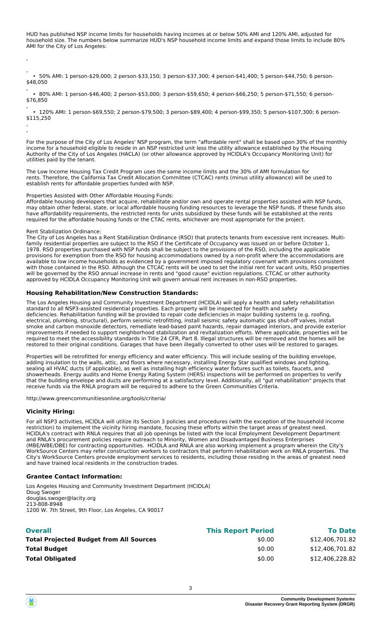HUD has published NSP income limits for households having incomes at or below 50% AMI and 120% AMI, adjusted for household size. The numbers below summarize HUD's NSP household income limits and expand those limits to include 80% AMI for the City of Los Angeles:

, • 50% AMI: 1 person-\$29,000; 2 person-\$33,150; 3 person-\$37,300; 4 person-\$41,400; 5 person-\$44,750; 6 person- \$48,050

, • 80% AMI: 1 person-\$46,400; 2 person-\$53,000; 3 person-\$59,650; 4 person-\$66,250; 5 person-\$71,550; 6 person- \$76,850

, • 120% AMI: 1 person-\$69,550; 2 person-\$79,500; 3 person-\$89,400; 4 person-\$99,350; 5 person-\$107,300; 6 person- \$115,250 ,

For the purpose of the City of Los Angeles' NSP program, the term "affordable rent" shall be based upon 30% of the monthly income for a household eligible to reside in an NSP restricted unit less the utility allowance established by the Housing Authority of the City of Los Angeles (HACLA) (or other allowance approved by HCIDLA's Occupancy Monitoring Unit) for utilities paid by the tenant.

The Low Income Housing Tax Credit Program uses the same income limits and the 30% of AMI formulation for rents. Therefore, the California Tax Credit Allocation Committee (CTCAC) rents (minus utility allowance) will be used to establish rents for affordable properties funded with NSP.

Properties Assisted with Other Affordable Housing Funds:

Affordable housing developers that acquire, rehabilitate and/or own and operate rental properties assisted with NSP funds, may obtain other federal, state, or local affordable housing funding resources to leverage the NSP funds. If these funds also have affordability requirements, the restricted rents for units subsidized by these funds will be established at the rents required for the affordable housing funds or the CTAC rents, whichever are most appropriate for the project.

Rent Stabilization Ordinance:

,

,

The City of Los Angeles has a Rent Stabilization Ordinance (RSO) that protects tenants from excessive rent increases. Multifamily residential properties are subject to the RSO if the Certificate of Occupancy was issued on or before October 1, 1978. RSO properties purchased with NSP funds shall be subject to the provisions of the RSO, including the applicable provisions for exemption from the RSO for housing accommodations owned by a non-profit where the accommodations are available to low income households as evidenced by a government imposed regulatory covenant with provisions consistent with those contained in the RSO. Although the CTCAC rents will be used to set the initial rent for vacant units, RSO properties will be governed by the RSO annual increase in rents and "good cause" eviction regulations. CTCAC or other authority approved by HCIDLA Occupancy Monitoring Unit will govern annual rent increases in non-RSO properties.

### **Housing Rehabilitation/New Construction Standards:**

The Los Angeles Housing and Community Investment Department (HCIDLA) will apply a health and safety rehabilitation standard to all NSP3-assisted residential properties. Each property will be inspected for health and safety deficiencies. Rehabilitation funding will be provided to repair code deficiencies in major building systems (e.g. roofing, electrical, plumbing, structural), perform seismic retrofitting, install seismic safety automatic gas shut-off valves, install smoke and carbon monoxide detectors, remediate lead-based paint hazards, repair damaged interiors, and provide exterior improvements if needed to support neighborhood stabilization and revitalization efforts. Where applicable, properties will be required to meet the accessibility standards in Title 24 CFR, Part 8. Illegal structures will be removed and the homes will be restored to their original conditions. Garages that have been illegally converted to other uses will be restored to garages.

Properties will be retrofitted for energy efficiency and water efficiency. This will include sealing of the building envelope, adding insulation to the walls, attic, and floors where necessary, installing Energy Star qualified windows and lighting, sealing all HVAC ducts (if applicable), as well as installing high efficiency water fixtures such as toilets, faucets, and showerheads. Energy audits and Home Energy Rating System (HERS) inspections will be performed on properties to verify that the building envelope and ducts are performing at a satisfactory level. Additionally, all "gut rehabilitation" projects that receive funds via the RNLA program will be required to adhere to the Green Communities Criteria.

http://www.greencommunitiesonline.org/tools/criteria/

#### **Vicinity Hiring:**

For all NSP3 activities, HCIDLA will utilize its Section 3 policies and procedures (with the exception of the household income restriction) to implement the vicinity hiring mandate, focusing these efforts within the target areas of greatest need. HCIDLA's contract with RNLA requires that all job openings be listed with the local Employment Development Department and RNLA's procurement policies require outreach to Minority, Women and Disadvantaged Business Enterprises (MBE/WBE/DBE) for contracting opportunities. HCIDLA and RNLA are also working implement a program wherein the City's WorkSource Centers may refer construction workers to contractors that perform rehabilitation work on RNLA properties. The City's WorkSource Centers provide employment services to residents, including those residing in the areas of greatest need and have trained local residents in the construction trades.

#### **Grantee Contact Information:**

Los Angeles Housing and Community Investment Department (HCIDLA) Doug Swoger douglas.swoger@lacity.org 213-808-8948 1200 W. 7th Street, 9th Floor, Los Angeles, CA 90017

| <b>Overall</b>                                 | <b>This Report Period</b> | <b>To Date</b>  |
|------------------------------------------------|---------------------------|-----------------|
| <b>Total Projected Budget from All Sources</b> | \$0.00                    | \$12,406,701.82 |
| <b>Total Budget</b>                            | \$0.00                    | \$12,406,701.82 |
| <b>Total Obligated</b>                         | \$0.00                    | \$12,406,228.82 |
|                                                |                           |                 |

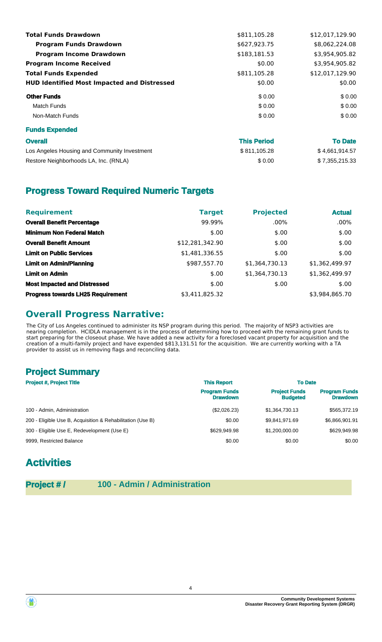| <b>Total Funds Drawdown</b>                        | \$811,105.28       | \$12,017,129.90 |
|----------------------------------------------------|--------------------|-----------------|
| <b>Program Funds Drawdown</b>                      | \$627,923.75       | \$8,062,224.08  |
| <b>Program Income Drawdown</b>                     | \$183,181.53       | \$3,954,905.82  |
| <b>Program Income Received</b>                     | \$0.00             | \$3,954,905.82  |
| <b>Total Funds Expended</b>                        | \$811,105.28       | \$12,017,129.90 |
| <b>HUD Identified Most Impacted and Distressed</b> | \$0.00             | \$0.00          |
| <b>Other Funds</b>                                 | \$0.00             | \$0.00          |
| Match Funds                                        | \$0.00             | \$0.00          |
| Non-Match Funds                                    | \$0.00             | \$0.00          |
| <b>Funds Expended</b>                              |                    |                 |
| <b>Overall</b>                                     | <b>This Period</b> | <b>To Date</b>  |
| Los Angeles Housing and Community Investment       | \$811,105.28       | \$4,661,914.57  |
| Restore Neighborhoods LA, Inc. (RNLA)              | \$0.00             | \$7,355,215.33  |
|                                                    |                    |                 |

## **Progress Toward Required Numeric Targets**

| <b>Requirement</b>                       | <b>Target</b>   | <b>Projected</b> | <b>Actual</b>  |
|------------------------------------------|-----------------|------------------|----------------|
| <b>Overall Benefit Percentage</b>        | 99.99%          | $.00\%$          | $.00\%$        |
| <b>Minimum Non Federal Match</b>         | \$.00           | \$.00            | \$.00          |
| <b>Overall Benefit Amount</b>            | \$12,281,342.90 | \$.00            | \$.00          |
| <b>Limit on Public Services</b>          | \$1,481,336.55  | \$.00            | \$.00          |
| <b>Limit on Admin/Planning</b>           | \$987,557.70    | \$1,364,730.13   | \$1,362,499.97 |
| <b>Limit on Admin</b>                    | \$.00           | \$1,364,730.13   | \$1,362,499.97 |
| <b>Most Impacted and Distressed</b>      | \$.00           | \$.00            | \$.00          |
| <b>Progress towards LH25 Requirement</b> | \$3,411,825.32  |                  | \$3.984.865.70 |

## **Overall Progress Narrative:**

The City of Los Angeles continued to administer its NSP program during this period. The majority of NSP3 activities are nearing completion. HCIDLA management is in the process of determining how to proceed with the remaining grant funds to start preparing for the closeout phase. We have added a new activity for a foreclosed vacant property for acquisition and the creation of a multi-family project and have expended \$813,131.51 for the acquisition. We are currently working with a TA provider to assist us in removing flags and reconciling data.

## **Project Summary**

| <b>Project #, Project Title</b>                            | <b>This Report</b>                      | <b>To Date</b>                          |                                         |
|------------------------------------------------------------|-----------------------------------------|-----------------------------------------|-----------------------------------------|
|                                                            | <b>Program Funds</b><br><b>Drawdown</b> | <b>Project Funds</b><br><b>Budgeted</b> | <b>Program Funds</b><br><b>Drawdown</b> |
| 100 - Admin, Administration                                | (\$2,026.23)                            | \$1.364.730.13                          | \$565,372.19                            |
| 200 - Eligible Use B, Acquisition & Rehabilitation (Use B) | \$0.00                                  | \$9.841.971.69                          | \$6,866,901.91                          |
| 300 - Eligible Use E, Redevelopment (Use E)                | \$629,949.98                            | \$1,200,000,00                          | \$629,949.98                            |
| 9999, Restricted Balance                                   | \$0.00                                  | \$0.00                                  | \$0.00                                  |

# **Activities**

**Project #/ 100 - Admin / Administration** 



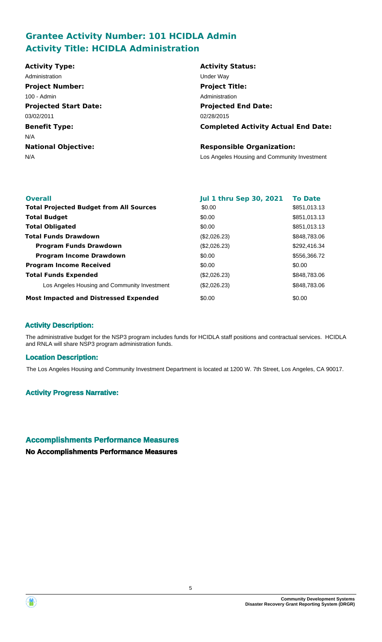## **Grantee Activity Number: 101 HCIDLA Admin Activity Title: HCIDLA Administration**

| <b>Activity Type:</b>        | <b>Activity Status:</b>                      |
|------------------------------|----------------------------------------------|
| Administration               | Under Way                                    |
| <b>Project Number:</b>       | <b>Project Title:</b>                        |
| 100 - Admin                  | Administration                               |
| <b>Projected Start Date:</b> | <b>Projected End Date:</b>                   |
| 03/02/2011                   | 02/28/2015                                   |
| <b>Benefit Type:</b>         | <b>Completed Activity Actual End Date:</b>   |
| N/A                          |                                              |
| <b>National Objective:</b>   | <b>Responsible Organization:</b>             |
| N/A                          | Los Angeles Housing and Community Investment |
|                              |                                              |

| <b>Overall</b>                                 | <b>Jul 1 thru Sep 30, 2021</b> | <b>To Date</b> |
|------------------------------------------------|--------------------------------|----------------|
| <b>Total Projected Budget from All Sources</b> | \$0.00                         | \$851,013.13   |
| <b>Total Budget</b>                            | \$0.00                         | \$851,013.13   |
| <b>Total Obligated</b>                         | \$0.00                         | \$851,013.13   |
| <b>Total Funds Drawdown</b>                    | (\$2,026.23)                   | \$848,783,06   |
| <b>Program Funds Drawdown</b>                  | (\$2,026.23)                   | \$292,416.34   |
| <b>Program Income Drawdown</b>                 | \$0.00                         | \$556,366.72   |
| <b>Program Income Received</b>                 | \$0.00                         | \$0.00         |
| <b>Total Funds Expended</b>                    | (\$2,026.23)                   | \$848,783,06   |
| Los Angeles Housing and Community Investment   | (\$2,026.23)                   | \$848,783.06   |
| <b>Most Impacted and Distressed Expended</b>   | \$0.00                         | \$0.00         |

## **Activity Description:**

The administrative budget for the NSP3 program includes funds for HCIDLA staff positions and contractual services. HCIDLA and RNLA will share NSP3 program administration funds.

## **Location Description:**

The Los Angeles Housing and Community Investment Department is located at 1200 W. 7th Street, Los Angeles, CA 90017.

### **Activity Progress Narrative:**

## **Accomplishments Performance Measures**

**No Accomplishments Performance Measures**

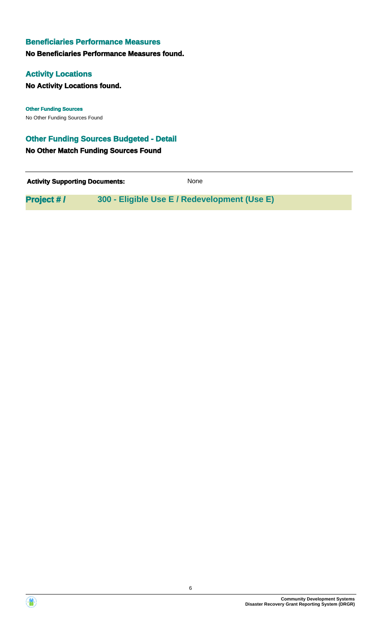## **Beneficiaries Performance Measures**

**No Beneficiaries Performance Measures found.**

## **Activity Locations**

**No Activity Locations found.**

No Other Funding Sources Found **Other Funding Sources**

## **Other Funding Sources Budgeted - Detail**

**No Other Match Funding Sources Found**

**Activity Supporting Documents:** None

**Project # / 300 - Eligible Use E / Redevelopment (Use E)**



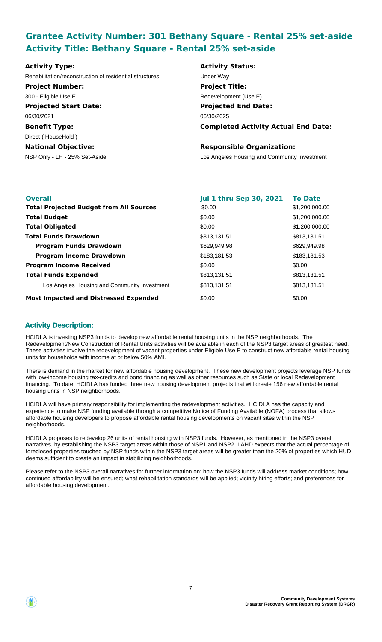## **Grantee Activity Number: 301 Bethany Square - Rental 25% set-aside Activity Title: Bethany Square - Rental 25% set-aside**

| <b>Activity Type:</b>                                   | <b>Activity Status:</b>                      |
|---------------------------------------------------------|----------------------------------------------|
| Rehabilitation/reconstruction of residential structures | Under Way                                    |
| <b>Project Number:</b>                                  | <b>Project Title:</b>                        |
| 300 - Eligible Use E                                    | Redevelopment (Use E)                        |
| <b>Projected Start Date:</b>                            | <b>Projected End Date:</b>                   |
| 06/30/2021                                              | 06/30/2025                                   |
| <b>Benefit Type:</b>                                    | <b>Completed Activity Actual End Date:</b>   |
| Direct (HouseHold)                                      |                                              |
| <b>National Objective:</b>                              | <b>Responsible Organization:</b>             |
| NSP Only - LH - 25% Set-Aside                           | Los Angeles Housing and Community Investment |

| <b>Overall</b>                                 | <b>Jul 1 thru Sep 30, 2021</b> | <b>To Date</b> |
|------------------------------------------------|--------------------------------|----------------|
| <b>Total Projected Budget from All Sources</b> | \$0.00                         | \$1,200,000.00 |
| <b>Total Budget</b>                            | \$0.00                         | \$1,200,000.00 |
| <b>Total Obligated</b>                         | \$0.00                         | \$1,200,000.00 |
| <b>Total Funds Drawdown</b>                    | \$813,131.51                   | \$813,131.51   |
| <b>Program Funds Drawdown</b>                  | \$629,949.98                   | \$629,949.98   |
| <b>Program Income Drawdown</b>                 | \$183,181.53                   | \$183,181.53   |
| <b>Program Income Received</b>                 | \$0.00                         | \$0.00         |
| <b>Total Funds Expended</b>                    | \$813,131.51                   | \$813,131.51   |
| Los Angeles Housing and Community Investment   | \$813,131.51                   | \$813,131.51   |
| <b>Most Impacted and Distressed Expended</b>   | \$0.00                         | \$0.00         |

## **Activity Description:**

HCIDLA is investing NSP3 funds to develop new affordable rental housing units in the NSP neighborhoods. The Redevelopment/New Construction of Rental Units activities will be available in each of the NSP3 target areas of greatest need. These activities involve the redevelopment of vacant properties under Eligible Use E to construct new affordable rental housing units for households with income at or below 50% AMI.

There is demand in the market for new affordable housing development. These new development projects leverage NSP funds with low-income housing tax-credits and bond financing as well as other resources such as State or local Redevelopment financing. To date, HCIDLA has funded three new housing development projects that will create 156 new affordable rental housing units in NSP neighborhoods.

HCIDLA will have primary responsibility for implementing the redevelopment activities. HCIDLA has the capacity and experience to make NSP funding available through a competitive Notice of Funding Available (NOFA) process that allows affordable housing developers to propose affordable rental housing developments on vacant sites within the NSP neighborhoods.

HCIDLA proposes to redevelop 26 units of rental housing with NSP3 funds. However, as mentioned in the NSP3 overall narratives, by establishing the NSP3 target areas within those of NSP1 and NSP2, LAHD expects that the actual percentage of foreclosed properties touched by NSP funds within the NSP3 target areas will be greater than the 20% of properties which HUD deems sufficient to create an impact in stabilizing neighborhoods.

Please refer to the NSP3 overall narratives for further information on: how the NSP3 funds will address market conditions; how continued affordability will be ensured; what rehabilitation standards will be applied; vicinity hiring efforts; and preferences for affordable housing development.